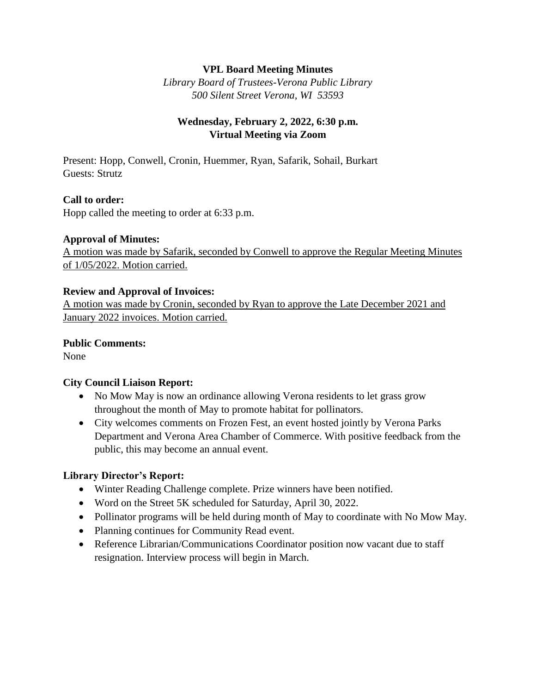### **VPL Board Meeting Minutes**

*Library Board of Trustees-Verona Public Library 500 Silent Street Verona, WI 53593*

## **Wednesday, February 2, 2022, 6:30 p.m. Virtual Meeting via Zoom**

Present: Hopp, Conwell, Cronin, Huemmer, Ryan, Safarik, Sohail, Burkart Guests: Strutz

#### **Call to order:**

Hopp called the meeting to order at 6:33 p.m.

#### **Approval of Minutes:**

A motion was made by Safarik, seconded by Conwell to approve the Regular Meeting Minutes of 1/05/2022. Motion carried.

#### **Review and Approval of Invoices:**

A motion was made by Cronin, seconded by Ryan to approve the Late December 2021 and January 2022 invoices. Motion carried.

### **Public Comments:**

None

### **City Council Liaison Report:**

- No Mow May is now an ordinance allowing Verona residents to let grass grow throughout the month of May to promote habitat for pollinators.
- City welcomes comments on Frozen Fest, an event hosted jointly by Verona Parks Department and Verona Area Chamber of Commerce. With positive feedback from the public, this may become an annual event.

### **Library Director's Report:**

- Winter Reading Challenge complete. Prize winners have been notified.
- Word on the Street 5K scheduled for Saturday, April 30, 2022.
- Pollinator programs will be held during month of May to coordinate with No Mow May.
- Planning continues for Community Read event.
- Reference Librarian/Communications Coordinator position now vacant due to staff resignation. Interview process will begin in March.